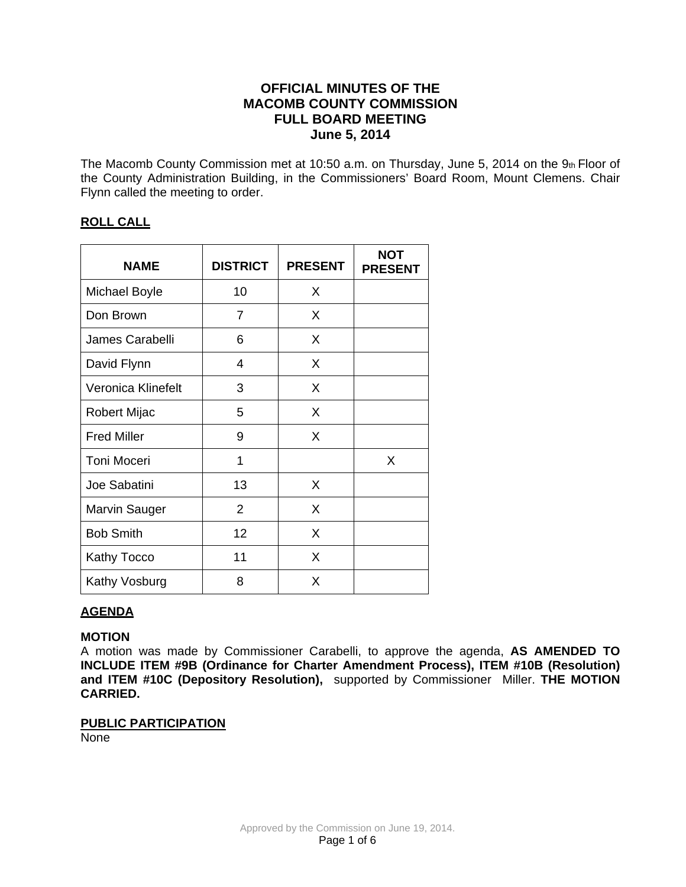# **OFFICIAL MINUTES OF THE MACOMB COUNTY COMMISSION FULL BOARD MEETING June 5, 2014**

The Macomb County Commission met at 10:50 a.m. on Thursday, June 5, 2014 on the 9th Floor of the County Administration Building, in the Commissioners' Board Room, Mount Clemens. Chair Flynn called the meeting to order.

## **ROLL CALL**

| <b>NAME</b>        | <b>DISTRICT</b> | <b>PRESENT</b> | <b>NOT</b><br><b>PRESENT</b> |
|--------------------|-----------------|----------------|------------------------------|
| Michael Boyle      | 10              | X              |                              |
| Don Brown          | 7               | X              |                              |
| James Carabelli    | 6               | X              |                              |
| David Flynn        | 4               | X              |                              |
| Veronica Klinefelt | 3               | X              |                              |
| Robert Mijac       | 5               | X              |                              |
| <b>Fred Miller</b> | 9               | X              |                              |
| <b>Toni Moceri</b> | 1               |                | X                            |
| Joe Sabatini       | 13              | X              |                              |
| Marvin Sauger      | $\overline{2}$  | X              |                              |
| <b>Bob Smith</b>   | 12              | X              |                              |
| Kathy Tocco        | 11              | X              |                              |
| Kathy Vosburg      | 8               | X              |                              |

# **AGENDA**

## **MOTION**

A motion was made by Commissioner Carabelli, to approve the agenda, **AS AMENDED TO INCLUDE ITEM #9B (Ordinance for Charter Amendment Process), ITEM #10B (Resolution) and ITEM #10C (Depository Resolution),** supported by Commissioner Miller. **THE MOTION CARRIED.**

## **PUBLIC PARTICIPATION**

None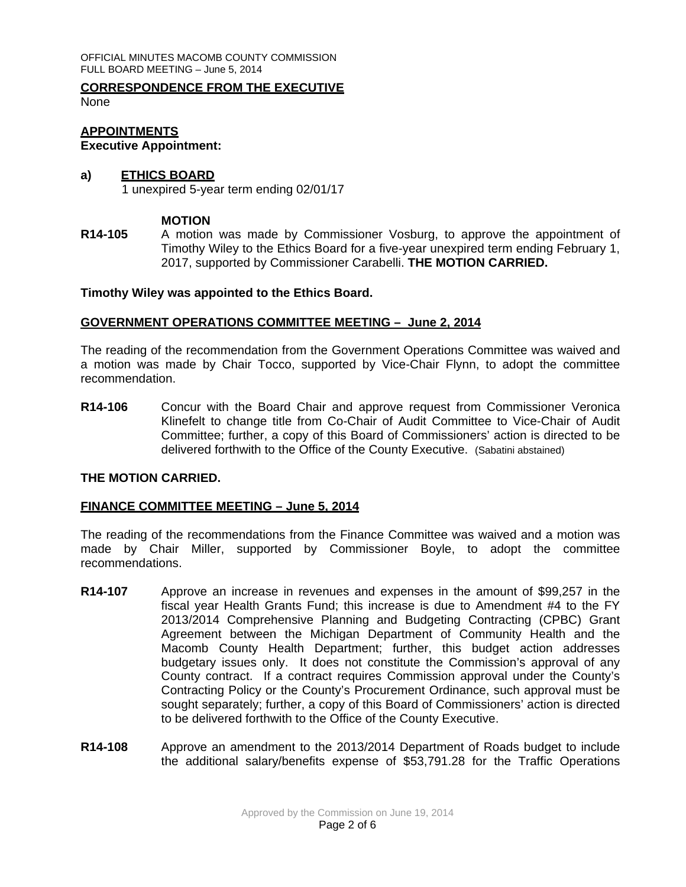OFFICIAL MINUTES MACOMB COUNTY COMMISSION FULL BOARD MEETING – June 5, 2014

# **CORRESPONDENCE FROM THE EXECUTIVE**

None

# **APPOINTMENTS**

## **Executive Appointment:**

## **a) ETHICS BOARD**

1 unexpired 5-year term ending 02/01/17

## **MOTION**

**R14-105** A motion was made by Commissioner Vosburg, to approve the appointment of Timothy Wiley to the Ethics Board for a five-year unexpired term ending February 1, 2017, supported by Commissioner Carabelli. **THE MOTION CARRIED.**

#### **Timothy Wiley was appointed to the Ethics Board.**

## **GOVERNMENT OPERATIONS COMMITTEE MEETING – June 2, 2014**

The reading of the recommendation from the Government Operations Committee was waived and a motion was made by Chair Tocco, supported by Vice-Chair Flynn, to adopt the committee recommendation.

**R14-106** Concur with the Board Chair and approve request from Commissioner Veronica Klinefelt to change title from Co-Chair of Audit Committee to Vice-Chair of Audit Committee; further, a copy of this Board of Commissioners' action is directed to be delivered forthwith to the Office of the County Executive. (Sabatini abstained)

## **THE MOTION CARRIED.**

#### **FINANCE COMMITTEE MEETING – June 5, 2014**

The reading of the recommendations from the Finance Committee was waived and a motion was made by Chair Miller, supported by Commissioner Boyle, to adopt the committee recommendations.

- **R14-107** Approve an increase in revenues and expenses in the amount of \$99,257 in the fiscal year Health Grants Fund; this increase is due to Amendment #4 to the FY 2013/2014 Comprehensive Planning and Budgeting Contracting (CPBC) Grant Agreement between the Michigan Department of Community Health and the Macomb County Health Department; further, this budget action addresses budgetary issues only. It does not constitute the Commission's approval of any County contract. If a contract requires Commission approval under the County's Contracting Policy or the County's Procurement Ordinance, such approval must be sought separately; further, a copy of this Board of Commissioners' action is directed to be delivered forthwith to the Office of the County Executive.
- **R14-108** Approve an amendment to the 2013/2014 Department of Roads budget to include the additional salary/benefits expense of \$53,791.28 for the Traffic Operations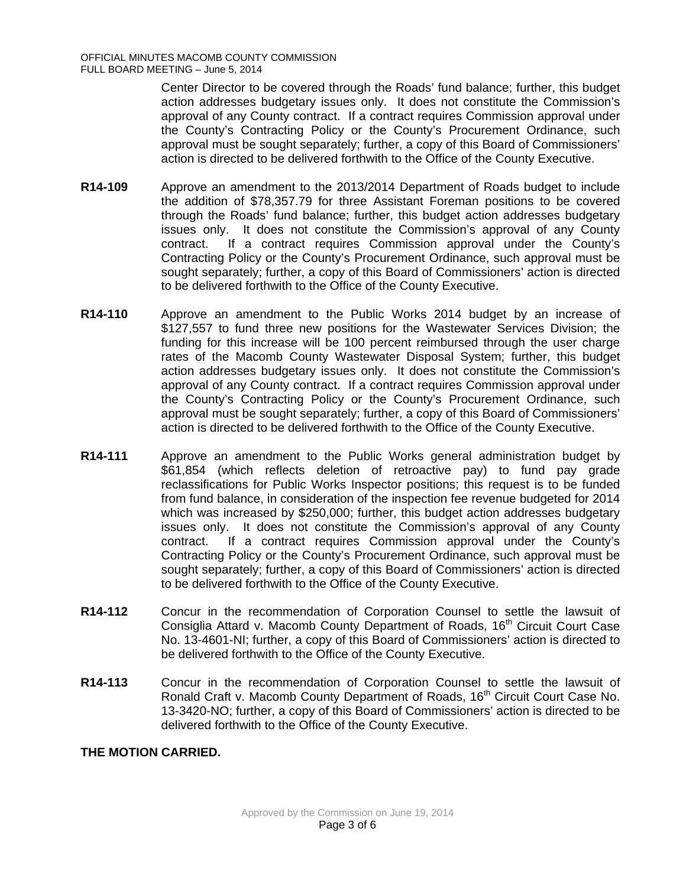Center Director to be covered through the Roads' fund balance; further, this budget action addresses budgetary issues only. It does not constitute the Commission's approval of any County contract. If a contract requires Commission approval under the County's Contracting Policy or the County's Procurement Ordinance, such approval must be sought separately; further, a copy of this Board of Commissioners' action is directed to be delivered forthwith to the Office of the County Executive.

- **R14-109** Approve an amendment to the 2013/2014 Department of Roads budget to include the addition of \$78,357.79 for three Assistant Foreman positions to be covered through the Roads' fund balance; further, this budget action addresses budgetary issues only. It does not constitute the Commission's approval of any County contract. If a contract requires Commission approval under the County's Contracting Policy or the County's Procurement Ordinance, such approval must be sought separately; further, a copy of this Board of Commissioners' action is directed to be delivered forthwith to the Office of the County Executive.
- **R14-110** Approve an amendment to the Public Works 2014 budget by an increase of \$127,557 to fund three new positions for the Wastewater Services Division; the funding for this increase will be 100 percent reimbursed through the user charge rates of the Macomb County Wastewater Disposal System; further, this budget action addresses budgetary issues only. It does not constitute the Commission's approval of any County contract. If a contract requires Commission approval under the County's Contracting Policy or the County's Procurement Ordinance, such approval must be sought separately; further, a copy of this Board of Commissioners' action is directed to be delivered forthwith to the Office of the County Executive.
- **R14-111** Approve an amendment to the Public Works general administration budget by \$61,854 (which reflects deletion of retroactive pay) to fund pay grade reclassifications for Public Works Inspector positions; this request is to be funded from fund balance, in consideration of the inspection fee revenue budgeted for 2014 which was increased by \$250,000; further, this budget action addresses budgetary issues only. It does not constitute the Commission's approval of any County contract. If a contract requires Commission approval under the County's Contracting Policy or the County's Procurement Ordinance, such approval must be sought separately; further, a copy of this Board of Commissioners' action is directed to be delivered forthwith to the Office of the County Executive.
- **R14-112** Concur in the recommendation of Corporation Counsel to settle the lawsuit of Consiglia Attard v. Macomb County Department of Roads, 16<sup>th</sup> Circuit Court Case No. 13-4601-NI; further, a copy of this Board of Commissioners' action is directed to be delivered forthwith to the Office of the County Executive.
- **R14-113** Concur in the recommendation of Corporation Counsel to settle the lawsuit of Ronald Craft v. Macomb County Department of Roads, 16<sup>th</sup> Circuit Court Case No. 13-3420-NO; further, a copy of this Board of Commissioners' action is directed to be delivered forthwith to the Office of the County Executive.

## **THE MOTION CARRIED.**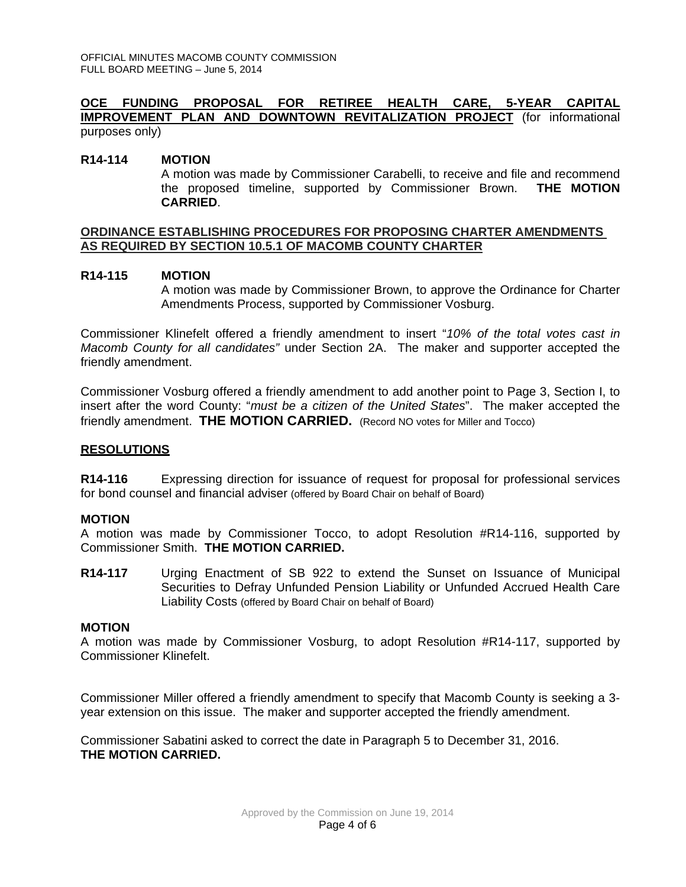#### **OCE FUNDING PROPOSAL FOR RETIREE HEALTH CARE, 5-YEAR CAPITAL IMPROVEMENT PLAN AND DOWNTOWN REVITALIZATION PROJECT** (for informational purposes only)

#### **R14-114 MOTION**

A motion was made by Commissioner Carabelli, to receive and file and recommend the proposed timeline, supported by Commissioner Brown. **THE MOTION CARRIED**.

#### **ORDINANCE ESTABLISHING PROCEDURES FOR PROPOSING CHARTER AMENDMENTS AS REQUIRED BY SECTION 10.5.1 OF MACOMB COUNTY CHARTER**

#### **R14-115 MOTION**

A motion was made by Commissioner Brown, to approve the Ordinance for Charter Amendments Process, supported by Commissioner Vosburg.

Commissioner Klinefelt offered a friendly amendment to insert "*10% of the total votes cast in Macomb County for all candidates"* under Section 2A. The maker and supporter accepted the friendly amendment.

Commissioner Vosburg offered a friendly amendment to add another point to Page 3, Section I, to insert after the word County: "*must be a citizen of the United States*". The maker accepted the friendly amendment. **THE MOTION CARRIED.** (Record NO votes for Miller and Tocco)

### **RESOLUTIONS**

**R14-116** Expressing direction for issuance of request for proposal for professional services for bond counsel and financial adviser (offered by Board Chair on behalf of Board)

#### **MOTION**

A motion was made by Commissioner Tocco, to adopt Resolution #R14-116, supported by Commissioner Smith. **THE MOTION CARRIED.**

**R14-117** Urging Enactment of SB 922 to extend the Sunset on Issuance of Municipal Securities to Defray Unfunded Pension Liability or Unfunded Accrued Health Care Liability Costs (offered by Board Chair on behalf of Board)

#### **MOTION**

A motion was made by Commissioner Vosburg, to adopt Resolution #R14-117, supported by Commissioner Klinefelt.

Commissioner Miller offered a friendly amendment to specify that Macomb County is seeking a 3 year extension on this issue. The maker and supporter accepted the friendly amendment.

Commissioner Sabatini asked to correct the date in Paragraph 5 to December 31, 2016. **THE MOTION CARRIED.**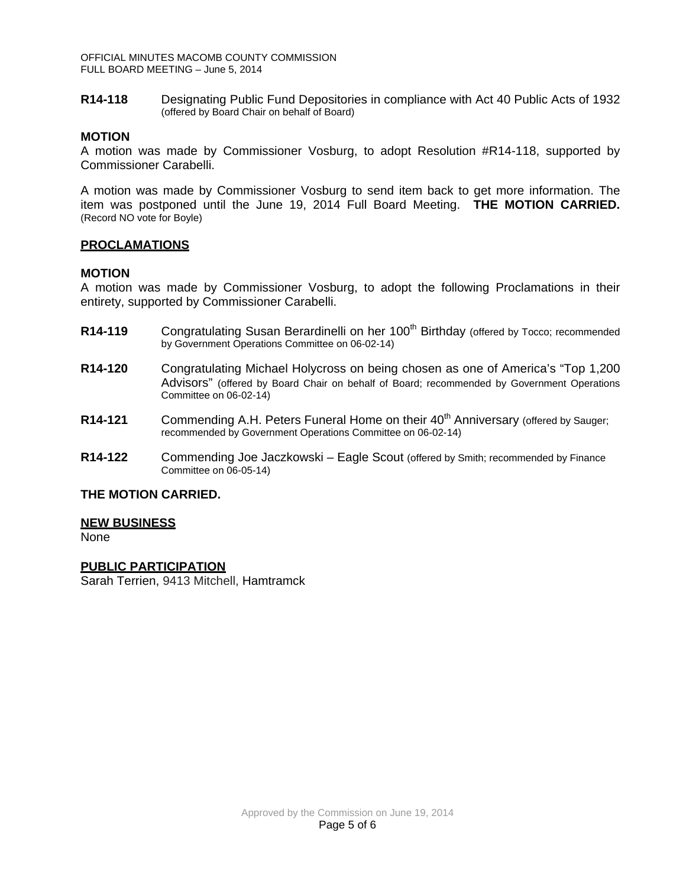OFFICIAL MINUTES MACOMB COUNTY COMMISSION FULL BOARD MEETING – June 5, 2014

**R14-118** Designating Public Fund Depositories in compliance with Act 40 Public Acts of 1932 (offered by Board Chair on behalf of Board)

#### **MOTION**

A motion was made by Commissioner Vosburg, to adopt Resolution #R14-118, supported by Commissioner Carabelli.

A motion was made by Commissioner Vosburg to send item back to get more information. The item was postponed until the June 19, 2014 Full Board Meeting. **THE MOTION CARRIED.** (Record NO vote for Boyle)

#### **PROCLAMATIONS**

#### **MOTION**

A motion was made by Commissioner Vosburg, to adopt the following Proclamations in their entirety, supported by Commissioner Carabelli.

- **R14-119** Congratulating Susan Berardinelli on her 100<sup>th</sup> Birthday (offered by Tocco; recommended by Government Operations Committee on 06-02-14)
- **R14-120** Congratulating Michael Holycross on being chosen as one of America's "Top 1,200 Advisors" (offered by Board Chair on behalf of Board; recommended by Government Operations Committee on 06-02-14)
- **R14-121** Commending A.H. Peters Funeral Home on their 40<sup>th</sup> Anniversary (offered by Sauger; recommended by Government Operations Committee on 06-02-14)
- **R14-122** Commending Joe Jaczkowski Eagle Scout (offered by Smith; recommended by Finance Committee on 06-05-14)

#### **THE MOTION CARRIED.**

#### **NEW BUSINESS**

None

#### **PUBLIC PARTICIPATION**

Sarah Terrien, 9413 Mitchell, Hamtramck